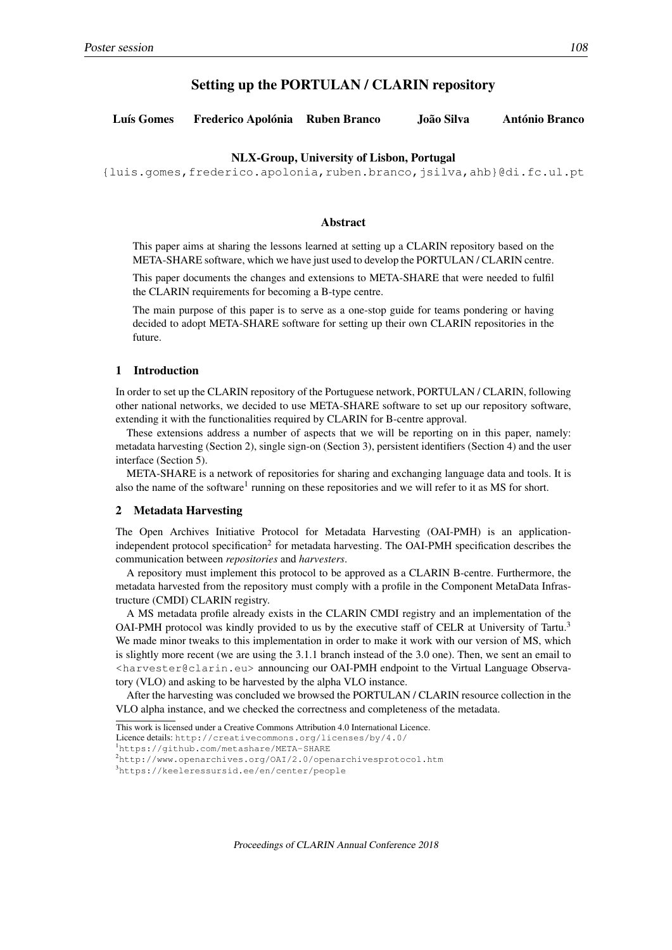# Setting up the PORTULAN / CLARIN repository

| Luís Gomes | Frederico Apolónia Ruben Branco |  | João Silva | <b>António Branco</b> |
|------------|---------------------------------|--|------------|-----------------------|
|------------|---------------------------------|--|------------|-----------------------|

## NLX-Group, University of Lisbon, Portugal

{luis.gomes,frederico.apolonia,ruben.branco,jsilva,ahb}@di.fc.ul.pt

#### Abstract

This paper aims at sharing the lessons learned at setting up a CLARIN repository based on the META-SHARE software, which we have just used to develop the PORTULAN / CLARIN centre.

This paper documents the changes and extensions to META-SHARE that were needed to fulfil the CLARIN requirements for becoming a B-type centre.

The main purpose of this paper is to serve as a one-stop guide for teams pondering or having decided to adopt META-SHARE software for setting up their own CLARIN repositories in the future.

### 1 Introduction

In order to set up the CLARIN repository of the Portuguese network, PORTULAN / CLARIN, following other national networks, we decided to use META-SHARE software to set up our repository software, extending it with the functionalities required by CLARIN for B-centre approval.

These extensions address a number of aspects that we will be reporting on in this paper, namely: metadata harvesting (Section 2), single sign-on (Section 3), persistent identifiers (Section 4) and the user interface (Section 5).

META-SHARE is a network of repositories for sharing and exchanging language data and tools. It is also the name of the software<sup>1</sup> running on these repositories and we will refer to it as MS for short.

## 2 Metadata Harvesting

The Open Archives Initiative Protocol for Metadata Harvesting (OAI-PMH) is an applicationindependent protocol specification<sup>2</sup> for metadata harvesting. The OAI-PMH specification describes the communication between *repositories* and *harvesters*.

A repository must implement this protocol to be approved as a CLARIN B-centre. Furthermore, the metadata harvested from the repository must comply with a profile in the Component MetaData Infrastructure (CMDI) CLARIN registry.

A MS metadata profile already exists in the CLARIN CMDI registry and an implementation of the OAI-PMH protocol was kindly provided to us by the executive staff of CELR at University of Tartu.<sup>3</sup> We made minor tweaks to this implementation in order to make it work with our version of MS, which is slightly more recent (we are using the 3.1.1 branch instead of the 3.0 one). Then, we sent an email to <harvester@clarin.eu> announcing our OAI-PMH endpoint to the Virtual Language Observatory (VLO) and asking to be harvested by the alpha VLO instance.

After the harvesting was concluded we browsed the PORTULAN / CLARIN resource collection in the VLO alpha instance, and we checked the correctness and completeness of the metadata.

This work is licensed under a Creative Commons Attribution 4.0 International Licence.

Licence details: http://creativecommons.org/licenses/by/4.0/

<sup>1</sup>https://github.com/metashare/META-SHARE

<sup>2</sup>http://www.openarchives.org/OAI/2.0/openarchivesprotocol.htm

<sup>3</sup>https://keeleressursid.ee/en/center/people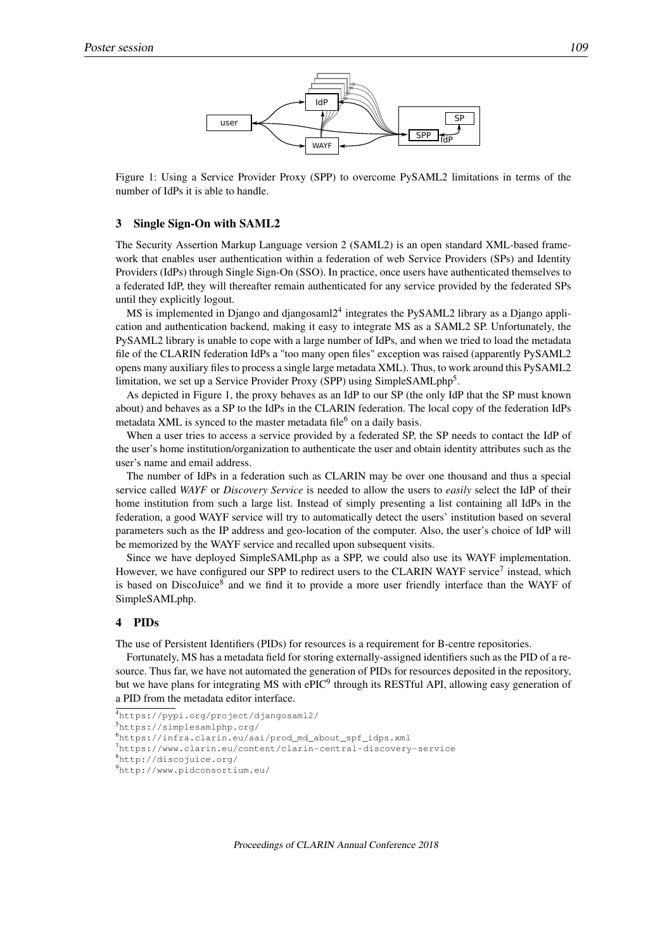

Figure 1: Using a Service Provider Proxy (SPP) to overcome PySAML2 limitations in terms of the number of IdPs it is able to handle.

#### 3 Single Sign-On with SAML2

The Security Assertion Markup Language version 2 (SAML2) is an open standard XML-based framework that enables user authentication within a federation of web Service Providers (SPs) and Identity Providers (IdPs) through Single Sign-On (SSO). In practice, once users have authenticated themselves to a federated IdP, they will thereafter remain authenticated for any service provided by the federated SPs until they explicitly logout.

MS is implemented in Django and djangosaml2<sup>4</sup> integrates the PySAML2 library as a Django application and authentication backend, making it easy to integrate MS as a SAML2 SP. Unfortunately, the PySAML2 library is unable to cope with a large number of IdPs, and when we tried to load the metadata file of the CLARIN federation IdPs a "too many open files" exception was raised (apparently PySAML2 opens many auxiliary files to process a single large metadata XML). Thus, to work around this PySAML2 limitation, we set up a Service Provider Proxy (SPP) using SimpleSAMLphp<sup>5</sup>.

As depicted in Figure 1, the proxy behaves as an IdP to our SP (the only IdP that the SP must known about) and behaves as a SP to the IdPs in the CLARIN federation. The local copy of the federation IdPs metadata XML is synced to the master metadata file<sup>6</sup> on a daily basis.

When a user tries to access a service provided by a federated SP, the SP needs to contact the IdP of the user's home institution/organization to authenticate the user and obtain identity attributes such as the user's name and email address.

The number of IdPs in a federation such as CLARIN may be over one thousand and thus a special service called *WAYF* or *Discovery Service* is needed to allow the users to *easily* select the IdP of their home institution from such a large list. Instead of simply presenting a list containing all IdPs in the federation, a good WAYF service will try to automatically detect the users' institution based on several parameters such as the IP address and geo-location of the computer. Also, the user's choice of IdP will be memorized by the WAYF service and recalled upon subsequent visits.

Since we have deployed SimpleSAMLphp as a SPP, we could also use its WAYF implementation. However, we have configured our SPP to redirect users to the CLARIN WAYF service<sup>7</sup> instead, which is based on DiscoJuice<sup>8</sup> and we find it to provide a more user friendly interface than the WAYF of SimpleSAMLphp.

## 4 PIDs

The use of Persistent Identifiers (PIDs) for resources is a requirement for B-centre repositories.

Fortunately, MS has a metadata field for storing externally-assigned identifiers such as the PID of a resource. Thus far, we have not automated the generation of PIDs for resources deposited in the repository, but we have plans for integrating MS with ePIC<sup>9</sup> through its RESTful API, allowing easy generation of a PID from the metadata editor interface.

<sup>7</sup>https://www.clarin.eu/content/clarin-central-discovery-service

```
8http://discojuice.org/
```

```
9http://www.pidconsortium.eu/
```
<sup>4</sup>https://pypi.org/project/djangosaml2/

<sup>5</sup>https://simplesamlphp.org/

<sup>6</sup>https://infra.clarin.eu/aai/prod\_md\_about\_spf\_idps.xml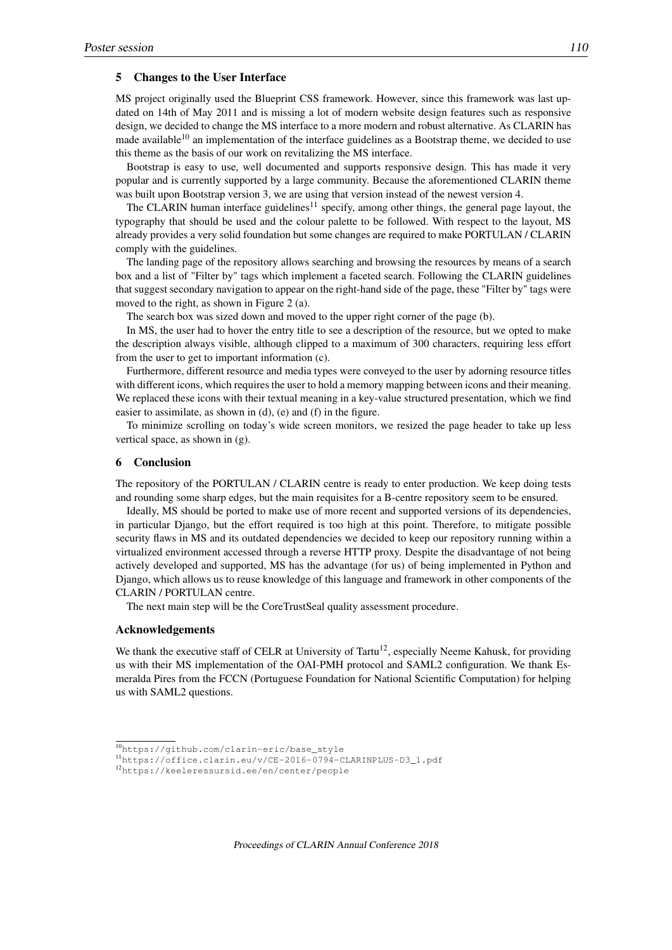## 5 Changes to the User Interface

MS project originally used the Blueprint CSS framework. However, since this framework was last updated on 14th of May 2011 and is missing a lot of modern website design features such as responsive design, we decided to change the MS interface to a more modern and robust alternative. As CLARIN has made available<sup>10</sup> an implementation of the interface guidelines as a Bootstrap theme, we decided to use this theme as the basis of our work on revitalizing the MS interface.

Bootstrap is easy to use, well documented and supports responsive design. This has made it very popular and is currently supported by a large community. Because the aforementioned CLARIN theme was built upon Bootstrap version 3, we are using that version instead of the newest version 4.

The CLARIN human interface guidelines<sup>11</sup> specify, among other things, the general page layout, the typography that should be used and the colour palette to be followed. With respect to the layout, MS already provides a very solid foundation but some changes are required to make PORTULAN / CLARIN comply with the guidelines.

The landing page of the repository allows searching and browsing the resources by means of a search box and a list of "Filter by" tags which implement a faceted search. Following the CLARIN guidelines that suggest secondary navigation to appear on the right-hand side of the page, these "Filter by" tags were moved to the right, as shown in Figure 2 (a).

The search box was sized down and moved to the upper right corner of the page (b).

In MS, the user had to hover the entry title to see a description of the resource, but we opted to make the description always visible, although clipped to a maximum of 300 characters, requiring less effort from the user to get to important information (c).

Furthermore, different resource and media types were conveyed to the user by adorning resource titles with different icons, which requires the user to hold a memory mapping between icons and their meaning. We replaced these icons with their textual meaning in a key-value structured presentation, which we find easier to assimilate, as shown in (d), (e) and (f) in the figure.

To minimize scrolling on today's wide screen monitors, we resized the page header to take up less vertical space, as shown in (g).

# 6 Conclusion

The repository of the PORTULAN / CLARIN centre is ready to enter production. We keep doing tests and rounding some sharp edges, but the main requisites for a B-centre repository seem to be ensured.

Ideally, MS should be ported to make use of more recent and supported versions of its dependencies, in particular Django, but the effort required is too high at this point. Therefore, to mitigate possible security flaws in MS and its outdated dependencies we decided to keep our repository running within a virtualized environment accessed through a reverse HTTP proxy. Despite the disadvantage of not being actively developed and supported, MS has the advantage (for us) of being implemented in Python and Django, which allows us to reuse knowledge of this language and framework in other components of the CLARIN / PORTULAN centre.

The next main step will be the CoreTrustSeal quality assessment procedure.

## Acknowledgements

We thank the executive staff of CELR at University of Tartu<sup>12</sup>, especially Neeme Kahusk, for providing us with their MS implementation of the OAI-PMH protocol and SAML2 configuration. We thank Esmeralda Pires from the FCCN (Portuguese Foundation for National Scientific Computation) for helping us with SAML2 questions.

<sup>10</sup>https://github.com/clarin-eric/base\_style

<sup>11</sup>https://office.clarin.eu/v/CE-2016-0794-CLARINPLUS-D3\_1.pdf

<sup>12</sup>https://keeleressursid.ee/en/center/people